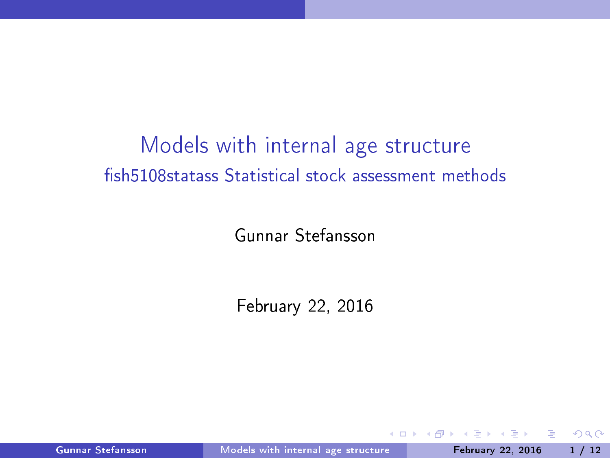# Models with internal age structure fish5108statass Statistical stock assessment methods

Gunnar Stefansson

February 22, 2016

Gunnar Stefansson Models with internal age structure February 22, 2016 1/12

 $\leftarrow$   $\Box$ 

<span id="page-0-0"></span> $QQ$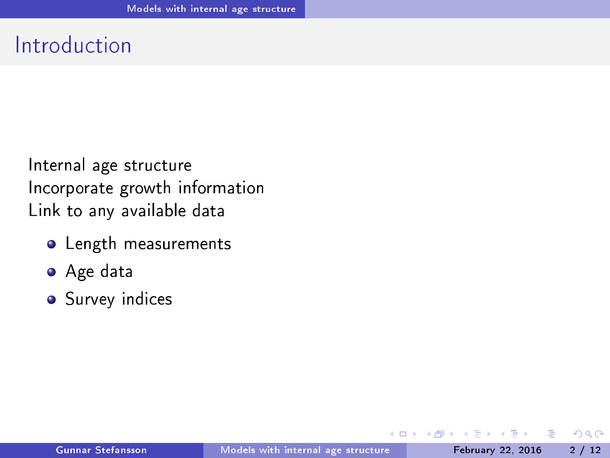## Introduction

Internal age structure Incorporate growth information In
orporate growth information Link to any available data

- **o** Length measurements
- Age data
- **•** Survey indices

 $\leftarrow$   $\Box$ 

э

<span id="page-1-0"></span> $QQQ$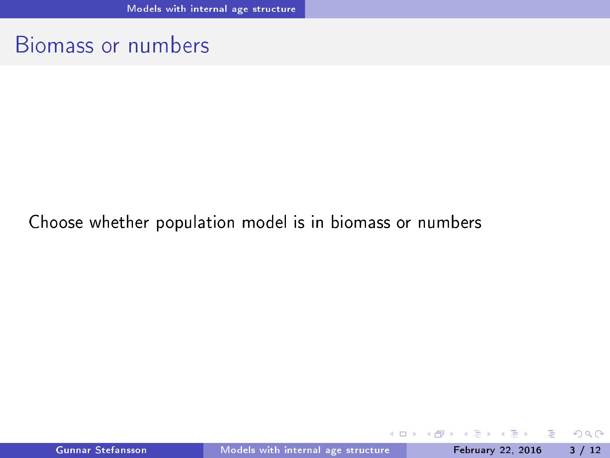### Biomass or numbers

#### Choose whether population model is in biomass or numbers

Gunnar Stefansson Models with internal age structure February 22, 2016 3 / 12

4. 0. 8.

∢ ⁄ਚ

 $\mathbf{A} \rightarrow \mathbf{B}$ 

Þ

<span id="page-2-0"></span> $298$ 

E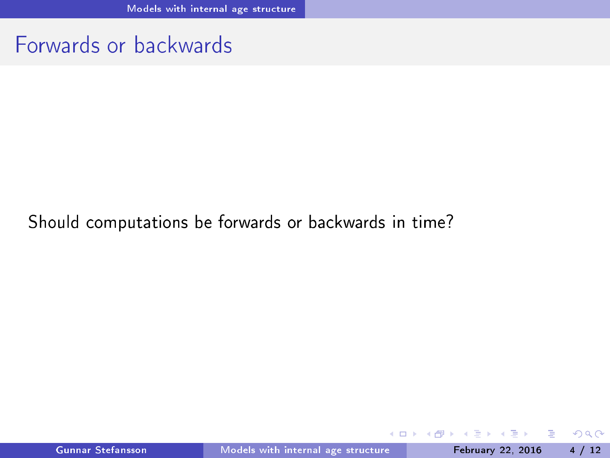### Forwards or backwards

#### Should computations be forwards or backwards in time?

Gunnar Stefansson Models with internal age structure February 22, 2016 4 / 12

 $\mathbf{A} \rightarrow \mathbf{B}$ 

÷

4 ロ ▶ (母

E

<span id="page-3-0"></span> $298$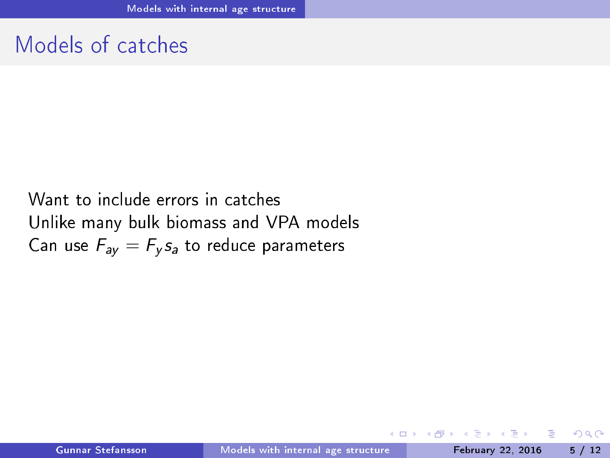### Models of catches

Want to include errors in catches Unlike many bulk biomass and VPA models Can use  $F_{av} = F_{\nu} s_a$  to reduce parameters

э

 $\mathbf{h}$ 

 $\leftarrow$   $\Box$ 

<span id="page-4-0"></span> $2990$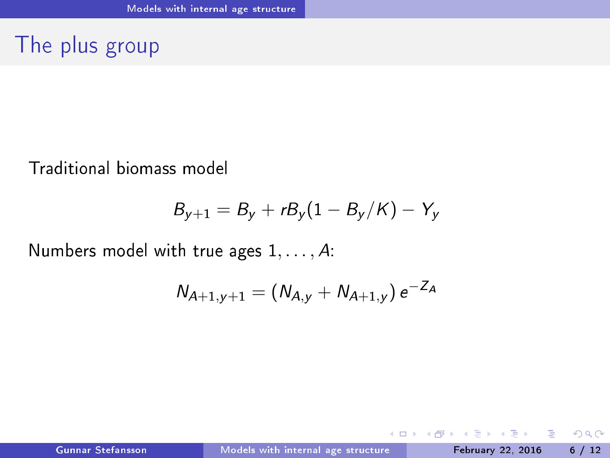The plus group

Traditional biomass model

$$
B_{y+1}=B_y+rB_y(1-B_y/K)-Y_y
$$

Numbers model with true ages  $1, \ldots, A$ :

$$
N_{A+1,y+1} = (N_{A,y} + N_{A+1,y}) e^{-Z_A}
$$

÷.

<span id="page-5-0"></span> $298$ 

 $($   $\Box$   $\rightarrow$   $($  $\overline{a}$   $\rightarrow$   $($   $\overline{a}$   $\rightarrow$   $($   $\overline{a}$   $\rightarrow$   $\overline{a}$   $\rightarrow$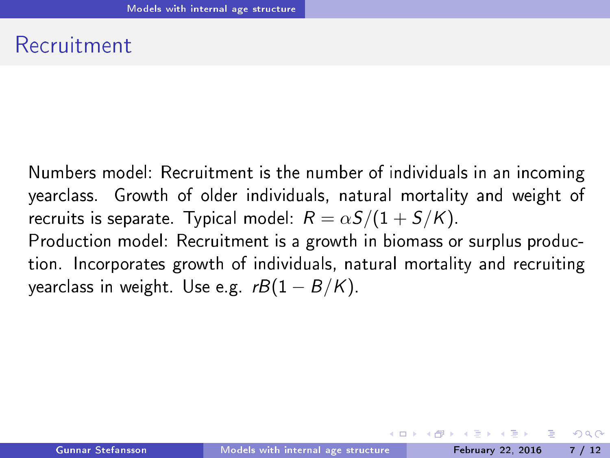### Recruitment

Numbers model: Recruitment is the number of individuals in an incoming Numbers model: Re
ruitment is the number of individuals in an in
oming yearclass. Growth of older individuals, natural mortality and weight of year
lass. Growth of older individuals, natural mortality and weight of recruits is separate. Typical model:  $R = \alpha S/(1 + S/K)$ . Production model: Recruitment is a growth in biomass or surplus production. In
orporates growth of individuals, natural mortality and re
ruiting yearclass in weight. Use e.g.  $rB(1 - B/K)$ .

<span id="page-6-0"></span> $QQ$ 

ヨメ メヨメ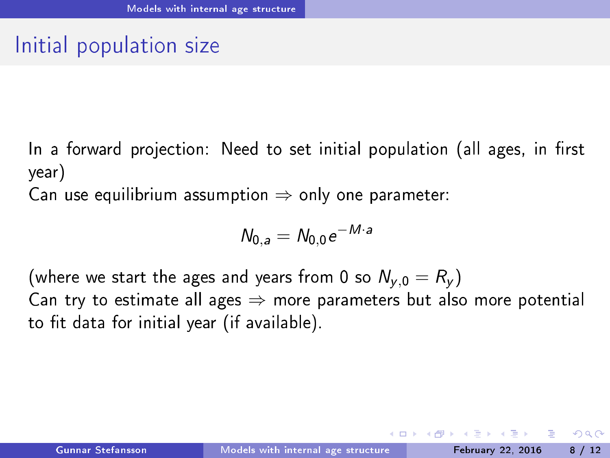# Initial population size

In a forward projection: Need to set initial population (all ages, in first year)

Can use equilibrium assumption  $\Rightarrow$  only one parameter:

$$
N_{0,a}=N_{0,0}e^{-M\cdot a}
$$

(where we start the ages and years from 0 so  $N_{v,0} = R_v$ ) Can try to estimate all ages  $\Rightarrow$  more parameters but also more potential to fit data for initial year (if available).

<span id="page-7-0"></span> $QQQ$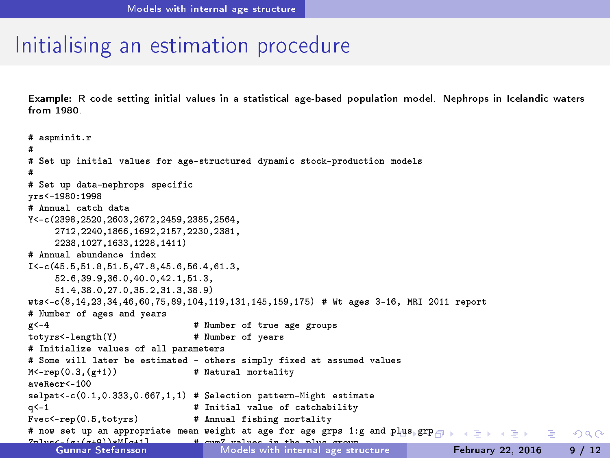## Initialising an estimation procedure

Example: R code setting initial values in a statistical age-based population model. Nephrops in Icelandic waters Example: <sup>R</sup> ode setting initial values in <sup>a</sup> statisti
al age-based population model. Nephrops in I
elandi waters  $from 1980$ 

```
# aspminit.r
\blacksquare-#
# Set up initial values for age-structured dynamic stock-production models
tured dynamics for age-structure for a ge-structure for a ge-structure for a ge-structure for a ge-structure for
## Set up data-nephrops specific
vrs <- 1980:1998
yrs and the contract of the contract of the contract of the contract of the contract of the contract of the contract of the contract of the contract of the contract of the contract of the contract of the contract of the co
# Annual catch data
      2712, 2240, 1866, 1692, 2157, 2230, 2381,
      2712,2240,1866,1692,2157,2230,2381,
      2238.1027.1633.1228.1411)
# Annual abundance index
I < -c (45.5, 51.8, 51.5, 47.8, 45.6, 56.4, 61.3,
I<-
(45.5,51.8,51.5,47.8,45.6,56.4,61.3,
      52.6.39.9.36.0.40.0.42.1.51.3.
      52.6,39.9,36.0,40.0,42.1,51.3,
      51.4.38.0.27.0.35.2.31.3.38.9)
wts<-
(8,14,23,34,46,60,75,89,104,119,131,145,159,175) # Wt ages 3-16, MRI 2011 report
# Number of ages and vears
# Number of ages and years
                                      # Number of true age groups
g < -4# Number of vears
totyrs total and the second term of the second second second second second second second second second second s
# Initialize values of all parameters
# Some will later be estimated - others simply fixed at assumed values
\mathbb{R} Some will later be estimated be estimated at assumed values \mathbb{R}M<-ren(0.3.(σ+1))# Natural mortality
M<-rep(0.3,(g+1)) # Natural mortality
selpat <- c (0.1, 0.333, 0.667, 1, 1) # Selection pattern-Might estimate
                                      # Initial value of catchability
a < -1q<-1 # Initial value of 
at
hability
Fvec<-rep(0.5,totyrs) # Annual fishing mortality
# now set up an appropriate mean weight at age for age grps 1:g and plus grp
                                                                                                                         ÷.
                                                                                                                               QQQ# cum7 values in the nlus croun
Zplus<-(g:(g+9))*M[g+1℄ # 
umZ values in the plus group
Gunnar Stefansson Models with internal age stru
ture February 22, 2016 9 / 12nplus (average structure in plus) # age structure in plus group and age structure in plus group and age structure
```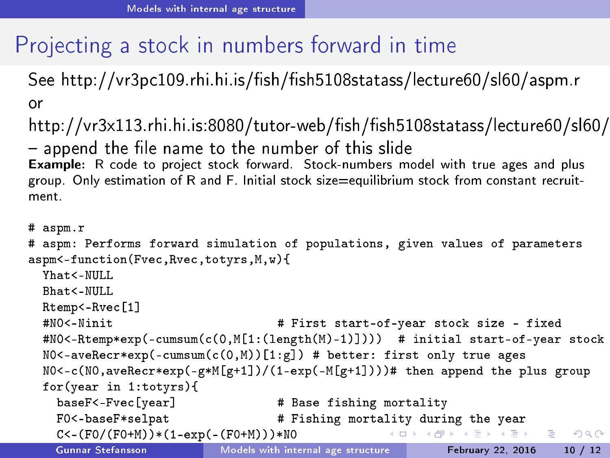# Proje
ting a sto
k in numbers forward in time

See http://vr3pc109.rhi.hi.is/fish/fish5108statass/lecture60/sl60/aspm.r or

http://vr3x113.rhi.hi.is:8080/tutor-web/fish/fish5108statass/lecture60/sl60/  $-$  append the file name to the number of this slide Example: R code to project stock forward. Stock-numbers model with true ages and plus group. Only estimation of R and F. Initial stock size=equilibrium stock from constant recruitgroup. Only estimation of R and F. Initial sto
k size=equilibrium sto
k from onstant re
ruitment

```
# aspm.r
# aspm.r
# aspm: Performs forward simulation of populations, given values of parameters
aspm<-function(Fvec.Rvec.totvrs.M.w){
aspment to the contract of the contract of the contract of the contract of the contract of the contract of the
   Yhat<-MIII.I.
   Bhat<-NULL
   Rtemp<-Rvec[1]
   rtempo de la contrada de la contrada de la contrada de la contrada de la contrada de la contrada de la contrad
   #NO<-Ninit
                                                    # First start-of-year stock size - fixed
   \mathcal{H}^{\text{max}} start-of-year start-of-year start-of-year start-of-year start-of-year start-of-year stock \mathcal{H}^{\text{max}}\texttt{\#NO} < -Rtemp*exp(-cumsum(c(0,M[1:(length(M)-1)]))) # initial start-of-year stock
   N0 <-aveRecr*exp(-cumsum(c(0,M))[1:g]) # better: first only true ages
   N0 < -c(N0, \text{average}(-\alpha \cdot \text{exp}(-\alpha \cdot \text{exp}(-N(\alpha+1)))) a then append the plus group
   for(year in 1:totyrs){
      baseF<-Fvec[year] # Base fishing mortality
      F0<-baseF*selpat # Fishing mortality during the year
                                                                           A \equiv \mathbf{1} + A \pmb{\overline{B}} + A \pmb{\overline{B}} + A \pmb{\overline{B}} + A \pmb{\overline{B}} + AC<-(F0/(F0+M))*(1-exp(-(F0+M)))*NO\equiv \OmegaGunnar Stefansson
```
<span id="page-9-0"></span> $\mathcal{C}^{\text{max}}$  . Total landings with internal age structure  $\mathcal{C}^{\text{max}}$  . Total landings with internal age structure  $\mathcal{C}^{\text{max}}$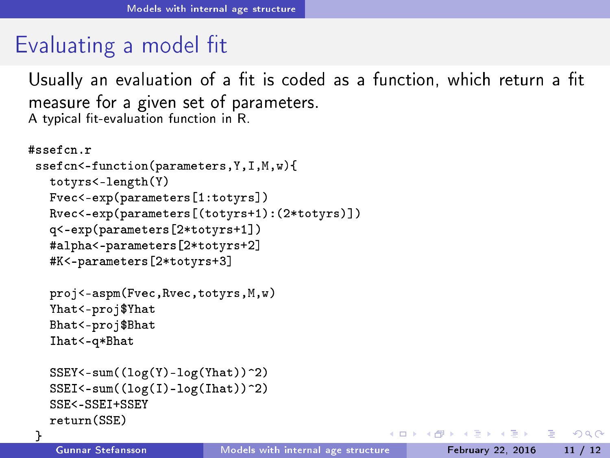## Evaluating a model fit

A typi
al t-evaluation fun
tion in R.

Usually an evaluation of a fit is coded as a function, which return a fit measure for a given set of parameters.<br>A typical fit-evaluation function in R.

```
#ssefon.rssefcn<-function(parameters.Y.I.M.w){
   sseft and the state of the state of the state of the state of the state of the state of the state of the state of the state of the state of the state of the state of the state of the state of the state of the state of the 
      totyrs<-length(Y)
       totyrsk totyrsk konstantin i den formale og den formale og den formale og den formale og den formale og den for
      Fvec<-exp(parameters[1:totyrs])
       Fver and the second term of the second term of the second term of the second term of the second term of the second term of the second term of the second term of the second term of the second term of the second term of the
      Rvec<-exp(parameters[(totyrs+1):(2*totyrs)])
       rvet totyrstelle the control of the control of the control of the control of the control of the control of the c
      q<-exp(parameters[2*totyrs+1])
      #alpha<-parameters[2*totyrs+2]
       #alpha<-parameters[2*totyrs+2℄
      #K<-parameters [2*totvrs+3]
       \blacksquareproj<-aspm(Fve
,Rve
,totyrs,M,w)
      Yhat<-proj$Yhat
      Bhat<-proj$Bhat
       Bhat<-proj$Bhat
      That<-a*Bhat
       In the contract of the contract of the contract of the contract of the contract of the contract of the contract of the contract of the contract of the contract of the contract of the contract of the contract of the contrac
      SSEY < -sum((log(Y) - log(Yhat))<sup>2</sup>)
      SSEI <-sum((log(I) - log(That)))^2)SSE<-SSET+SSEY
      return(SSE)
```
}

 $\leftarrow$   $\Box$ 

<span id="page-10-0"></span> $\rightarrow$   $\equiv$   $\rightarrow$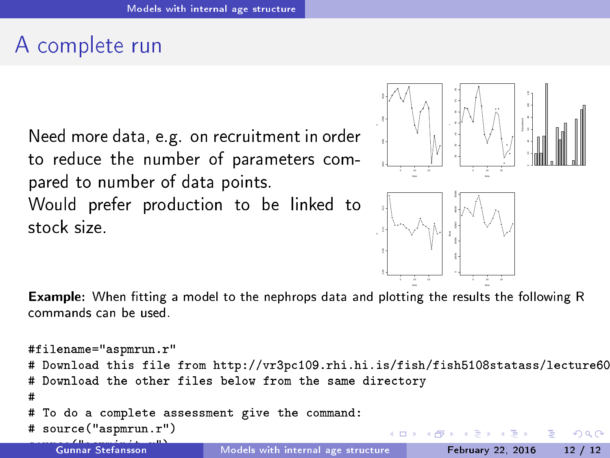# A omplete run

Need more data, e.g. on re
ruitment in order to reduce the number of parameters compared to number of data points.

Would prefer production to be linked to stock size

<span id="page-11-0"></span>

Example: When tting a model to the nephrops data and plotting the results the following R commands can be used

```
#filename="aspmrun.r"
  Download this file from http://vr3pc109.rhi.hi.is/fish/fish5108statass/lecture60
  Download the other files below from the same directory
# Download the other files below from the same dire
tory
\sharpTo do a complete assessment give the command:
  source("aspmrun.r")
                                                                                                   QQen and the source of the source of the source of the source of the source of the source of the source of the s
     Gunnar Stefansson
                                   Models with internal age structure February 22, 2016 12 / 12
```